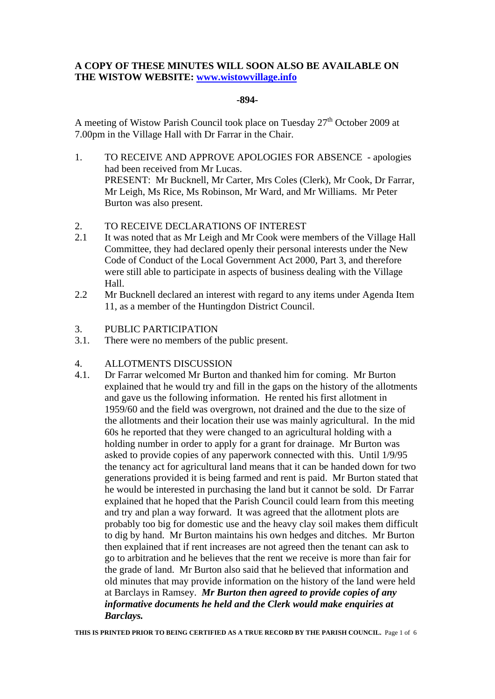# **A COPY OF THESE MINUTES WILL SOON ALSO BE AVAILABLE ON THE WISTOW WEBSITE: www.wistowvillage.info**

## **-894-**

A meeting of Wistow Parish Council took place on Tuesday  $27<sup>th</sup>$  October 2009 at 7.00pm in the Village Hall with Dr Farrar in the Chair.

- 1. TO RECEIVE AND APPROVE APOLOGIES FOR ABSENCE apologies had been received from Mr Lucas. PRESENT: Mr Bucknell, Mr Carter, Mrs Coles (Clerk), Mr Cook, Dr Farrar, Mr Leigh, Ms Rice, Ms Robinson, Mr Ward, and Mr Williams. Mr Peter Burton was also present.
- 2. TO RECEIVE DECLARATIONS OF INTEREST
- 2.1 It was noted that as Mr Leigh and Mr Cook were members of the Village Hall Committee, they had declared openly their personal interests under the New Code of Conduct of the Local Government Act 2000, Part 3, and therefore were still able to participate in aspects of business dealing with the Village Hall.
- 2.2 Mr Bucknell declared an interest with regard to any items under Agenda Item 11, as a member of the Huntingdon District Council.
- 3. PUBLIC PARTICIPATION
- 3.1. There were no members of the public present.

# 4. ALLOTMENTS DISCUSSION

4.1. Dr Farrar welcomed Mr Burton and thanked him for coming. Mr Burton explained that he would try and fill in the gaps on the history of the allotments and gave us the following information. He rented his first allotment in 1959/60 and the field was overgrown, not drained and the due to the size of the allotments and their location their use was mainly agricultural. In the mid 60s he reported that they were changed to an agricultural holding with a holding number in order to apply for a grant for drainage. Mr Burton was asked to provide copies of any paperwork connected with this. Until 1/9/95 the tenancy act for agricultural land means that it can be handed down for two generations provided it is being farmed and rent is paid. Mr Burton stated that he would be interested in purchasing the land but it cannot be sold. Dr Farrar explained that he hoped that the Parish Council could learn from this meeting and try and plan a way forward. It was agreed that the allotment plots are probably too big for domestic use and the heavy clay soil makes them difficult to dig by hand. Mr Burton maintains his own hedges and ditches. Mr Burton then explained that if rent increases are not agreed then the tenant can ask to go to arbitration and he believes that the rent we receive is more than fair for the grade of land. Mr Burton also said that he believed that information and old minutes that may provide information on the history of the land were held at Barclays in Ramsey. *Mr Burton then agreed to provide copies of any informative documents he held and the Clerk would make enquiries at Barclays.*

**THIS IS PRINTED PRIOR TO BEING CERTIFIED AS A TRUE RECORD BY THE PARISH COUNCIL.** Page 1 of 6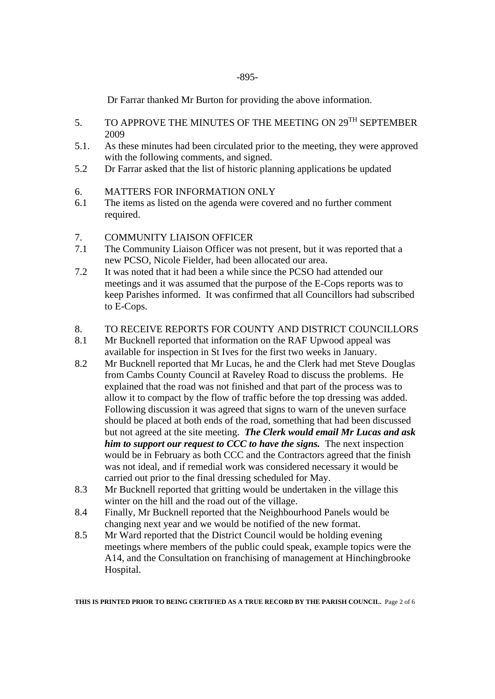Dr Farrar thanked Mr Burton for providing the above information.

- 5. TO APPROVE THE MINUTES OF THE MEETING ON 29<sup>TH</sup> SEPTEMBER 2009
- 5.1. As these minutes had been circulated prior to the meeting, they were approved with the following comments, and signed.
- 5.2 Dr Farrar asked that the list of historic planning applications be updated
- 6. MATTERS FOR INFORMATION ONLY
- 6.1 The items as listed on the agenda were covered and no further comment required.
- 7. COMMUNITY LIAISON OFFICER
- 7.1 The Community Liaison Officer was not present, but it was reported that a new PCSO, Nicole Fielder, had been allocated our area.
- 7.2 It was noted that it had been a while since the PCSO had attended our meetings and it was assumed that the purpose of the E-Cops reports was to keep Parishes informed. It was confirmed that all Councillors had subscribed to E-Cops.

## 8. TO RECEIVE REPORTS FOR COUNTY AND DISTRICT COUNCILLORS

- 8.1 Mr Bucknell reported that information on the RAF Upwood appeal was available for inspection in St Ives for the first two weeks in January.
- 8.2 Mr Bucknell reported that Mr Lucas, he and the Clerk had met Steve Douglas from Cambs County Council at Raveley Road to discuss the problems. He explained that the road was not finished and that part of the process was to allow it to compact by the flow of traffic before the top dressing was added. Following discussion it was agreed that signs to warn of the uneven surface should be placed at both ends of the road, something that had been discussed but not agreed at the site meeting. *The Clerk would email Mr Lucas and ask him to support our request to CCC to have the signs.* The next inspection would be in February as both CCC and the Contractors agreed that the finish was not ideal, and if remedial work was considered necessary it would be carried out prior to the final dressing scheduled for May.
- 8.3 Mr Bucknell reported that gritting would be undertaken in the village this winter on the hill and the road out of the village.
- 8.4 Finally, Mr Bucknell reported that the Neighbourhood Panels would be changing next year and we would be notified of the new format.
- 8.5 Mr Ward reported that the District Council would be holding evening meetings where members of the public could speak, example topics were the A14, and the Consultation on franchising of management at Hinchingbrooke Hospital.

**THIS IS PRINTED PRIOR TO BEING CERTIFIED AS A TRUE RECORD BY THE PARISH COUNCIL.** Page 2 of 6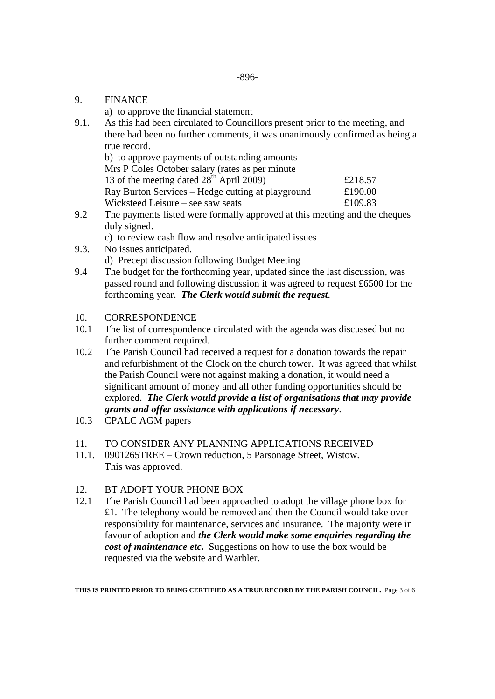9. FINANCE

a) to approve the financial statement

9.1. As this had been circulated to Councillors present prior to the meeting, and there had been no further comments, it was unanimously confirmed as being a true record.

| b) to approve payments of outstanding amounts        |         |
|------------------------------------------------------|---------|
| Mrs P Coles October salary (rates as per minute      |         |
| 13 of the meeting dated 28 <sup>th</sup> April 2009) | £218.57 |
| Ray Burton Services – Hedge cutting at playground    | £190.00 |
| Wicksteed Leisure – see saw seats                    | £109.83 |

- 9.2 The payments listed were formally approved at this meeting and the cheques duly signed.
	- c) to review cash flow and resolve anticipated issues
- 9.3. No issues anticipated. d) Precept discussion following Budget Meeting
- 9.4 The budget for the forthcoming year, updated since the last discussion, was passed round and following discussion it was agreed to request £6500 for the forthcoming year. *The Clerk would submit the request*.
- 10. CORRESPONDENCE
- 10.1 The list of correspondence circulated with the agenda was discussed but no further comment required.
- 10.2 The Parish Council had received a request for a donation towards the repair and refurbishment of the Clock on the church tower. It was agreed that whilst the Parish Council were not against making a donation, it would need a significant amount of money and all other funding opportunities should be explored. *The Clerk would provide a list of organisations that may provide grants and offer assistance with applications if necessary*.
- 10.3 CPALC AGM papers
- 11. TO CONSIDER ANY PLANNING APPLICATIONS RECEIVED
- 11.1. 0901265TREE Crown reduction, 5 Parsonage Street, Wistow. This was approved.

# 12. BT ADOPT YOUR PHONE BOX

12.1 The Parish Council had been approached to adopt the village phone box for £1. The telephony would be removed and then the Council would take over responsibility for maintenance, services and insurance. The majority were in favour of adoption and *the Clerk would make some enquiries regarding the cost of maintenance etc.* Suggestions on how to use the box would be requested via the website and Warbler.

**THIS IS PRINTED PRIOR TO BEING CERTIFIED AS A TRUE RECORD BY THE PARISH COUNCIL.** Page 3 of 6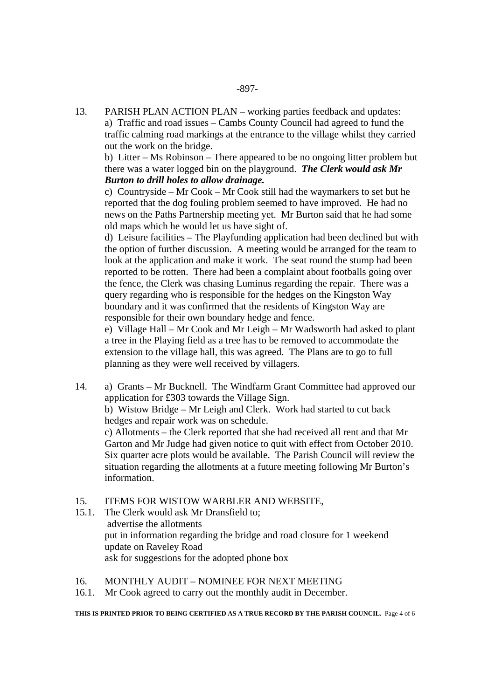13. PARISH PLAN ACTION PLAN – working parties feedback and updates: a) Traffic and road issues – Cambs County Council had agreed to fund the traffic calming road markings at the entrance to the village whilst they carried out the work on the bridge.

 b) Litter – Ms Robinson – There appeared to be no ongoing litter problem but there was a water logged bin on the playground. *The Clerk would ask Mr Burton to drill holes to allow drainage.* 

c) Countryside – Mr Cook – Mr Cook still had the waymarkers to set but he reported that the dog fouling problem seemed to have improved. He had no news on the Paths Partnership meeting yet. Mr Burton said that he had some old maps which he would let us have sight of.

d) Leisure facilities – The Playfunding application had been declined but with the option of further discussion. A meeting would be arranged for the team to look at the application and make it work. The seat round the stump had been reported to be rotten. There had been a complaint about footballs going over the fence, the Clerk was chasing Luminus regarding the repair. There was a query regarding who is responsible for the hedges on the Kingston Way boundary and it was confirmed that the residents of Kingston Way are responsible for their own boundary hedge and fence.

e) Village Hall – Mr Cook and Mr Leigh – Mr Wadsworth had asked to plant a tree in the Playing field as a tree has to be removed to accommodate the extension to the village hall, this was agreed. The Plans are to go to full planning as they were well received by villagers.

14. a) Grants – Mr Bucknell. The Windfarm Grant Committee had approved our application for £303 towards the Village Sign. b) Wistow Bridge – Mr Leigh and Clerk. Work had started to cut back hedges and repair work was on schedule. c) Allotments – the Clerk reported that she had received all rent and that Mr Garton and Mr Judge had given notice to quit with effect from October 2010.

Six quarter acre plots would be available. The Parish Council will review the situation regarding the allotments at a future meeting following Mr Burton's information.

# 15. ITEMS FOR WISTOW WARBLER AND WEBSITE,

15.1. The Clerk would ask Mr Dransfield to; advertise the allotments put in information regarding the bridge and road closure for 1 weekend update on Raveley Road ask for suggestions for the adopted phone box

16. MONTHLY AUDIT – NOMINEE FOR NEXT MEETING

16.1. Mr Cook agreed to carry out the monthly audit in December.

**THIS IS PRINTED PRIOR TO BEING CERTIFIED AS A TRUE RECORD BY THE PARISH COUNCIL.** Page 4 of 6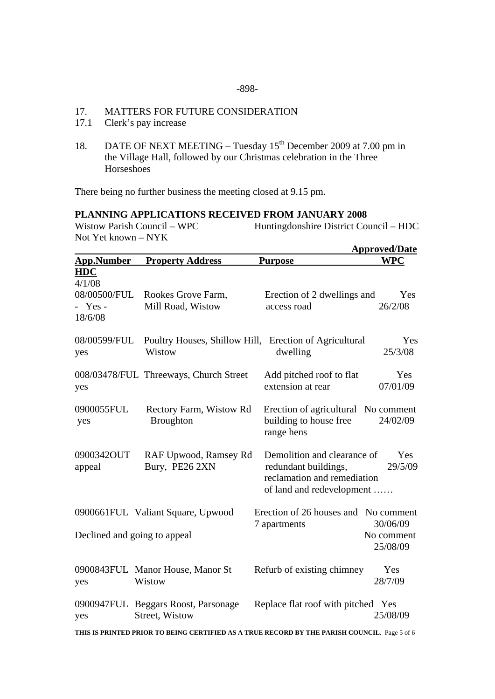#### -898-

## 17. MATTERS FOR FUTURE CONSIDERATION

- 17.1 Clerk's pay increase
- 18. DATE OF NEXT MEETING Tuesday 15<sup>th</sup> December 2009 at 7.00 pm in the Village Hall, followed by our Christmas celebration in the Three **Horseshoes**

There being no further business the meeting closed at 9.15 pm.

# **PLANNING APPLICATIONS RECEIVED FROM JANUARY 2008**

Huntingdonshire District Council – HDC Not Yet known – NYK

|                                                              |                                                                  |                                                                                                                 | <b>Approved/Date</b>   |
|--------------------------------------------------------------|------------------------------------------------------------------|-----------------------------------------------------------------------------------------------------------------|------------------------|
| <b>App.Number</b>                                            | <b>Property Address</b>                                          | <b>Purpose</b>                                                                                                  | <b>WPC</b>             |
| <b>HDC</b><br>4/1/08<br>08/00500/FUL<br>$-$ Yes -<br>18/6/08 | Rookes Grove Farm,<br>Mill Road, Wistow                          | Erection of 2 dwellings and<br>access road                                                                      | Yes<br>26/2/08         |
| 08/00599/FUL<br>yes                                          | Poultry Houses, Shillow Hill, Erection of Agricultural<br>Wistow | dwelling                                                                                                        | Yes<br>25/3/08         |
| yes                                                          | 008/03478/FUL Threeways, Church Street                           | Add pitched roof to flat<br>extension at rear                                                                   | Yes<br>07/01/09        |
| 0900055FUL<br>yes                                            | Rectory Farm, Wistow Rd<br><b>Broughton</b>                      | Erection of agricultural No comment<br>building to house free<br>range hens                                     | 24/02/09               |
| 0900342OUT<br>appeal                                         | RAF Upwood, Ramsey Rd<br>Bury, PE26 2XN                          | Demolition and clearance of<br>redundant buildings,<br>reclamation and remediation<br>of land and redevelopment | Yes<br>29/5/09         |
|                                                              | 0900661FUL Valiant Square, Upwood                                | Erection of 26 houses and No comment<br>7 apartments                                                            | 30/06/09               |
| Declined and going to appeal                                 |                                                                  |                                                                                                                 | No comment<br>25/08/09 |
| yes                                                          | 0900843FUL Manor House, Manor St<br>Wistow                       | Refurb of existing chimney                                                                                      | Yes<br>28/7/09         |
| yes                                                          | 0900947FUL Beggars Roost, Parsonage<br>Street, Wistow            | Replace flat roof with pitched Yes                                                                              | 25/08/09               |

**THIS IS PRINTED PRIOR TO BEING CERTIFIED AS A TRUE RECORD BY THE PARISH COUNCIL.** Page 5 of 6